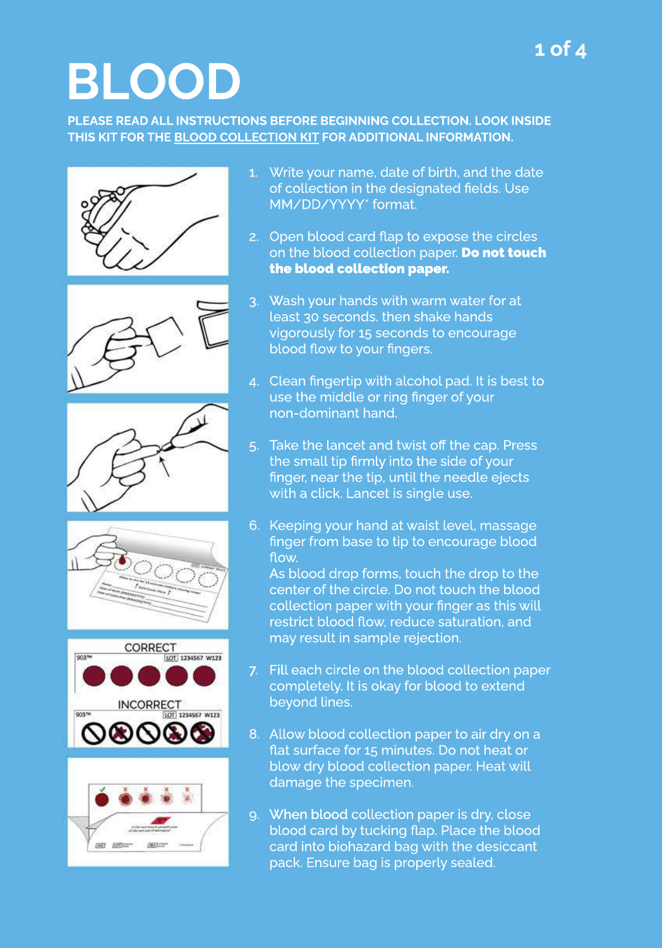### **BLOOD**

PLEASE READ ALL INSTRUCTIONS BEFORE BEGINNING COLLECTION. LOOK INSIDE THIS KIT FOR THE BLOOD COLLECTION KIT FOR ADDITIONAL INFORMATION.













- 1. Write your name, date of birth, and the date of collection in the designated fields. Use MM/DD/YYYY\*format.
- 2. Open blood card flap to expose the circles on the blood collection paper. Do not touch the blood collection paper.
- Wash your hands with warm water for at least 30 seconds. then shake hands vigorously for 15 seconds to encourage blood flow to your fingers. 3.
- 4. Clean fingertip with alcohol pad. It is best to use the middle or ring finger of your non-dominant hand.
- Take the lancet and twist off the cap. Press the small tip firmly into the side of your finger, near the tip, until the needle ejects with a click. Lancet is single use. 5.
- 6. Keeping your hand at waist level, massage finger from base to tip to encourage blood flow.

As blood drop forms, touch the drop to the center of the circle. Do not touch the blood collection paper with your finger as this will restrict blood flow, reduce saturation, and may result in sample rejection.

- 7. Fill each circle on the blood collection paper completely. It is okay for blood to extend beyond lines.
- 8. Allow blood collection paper to air dry on a flat surface for 15 minutes. Do not heat or blow dry blood collection paper. Heat will damage the specimen.
- 9. When blood collection paper is dry, close blood card by tucking flap. Place the blood card into biohazard bag with the desiccant pack. Ensure bag is properly sealed.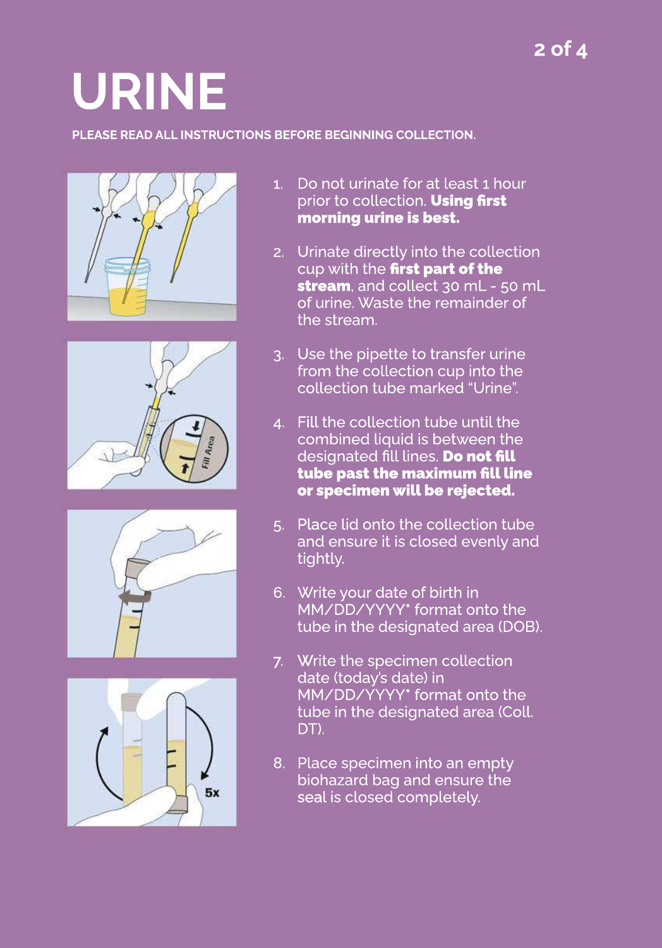# **URINE**

#### PLEASE READ ALL INSTRUCTIONS BEFORE BEGINNING COLLECTION.









- 1. Do not urinate for at least 1 hour prior to collection. Using first morning urine is best.
- 2. Urinate directly into the collection cup with the first part of the stream, and collect 30 mL - 50 mL of urine. Waste the remainder of the stream.
- 3. Use the pipette to transfer urine from the collection cup into the collection tube marked "Urine".
- 4. Fill the collection tube until the combined liquid is between the designated fill lines. Do not fill tube past the maximum fill line or specimen will be rejected.
- 5. Place lid onto the collection tube and ensure it is closed evenly and tightly.
- 6. Write your date of birth in MM/DD/YYYY\* format onto the tube in the designated area (DOB).
- 7. Write the specimen collection date (today's date) in MM/DD/YYYY\* format onto the tube in the designated area (Coll. DT).
- 8. Place specimen into an empty biohazard bag and ensure the seal is closed completely.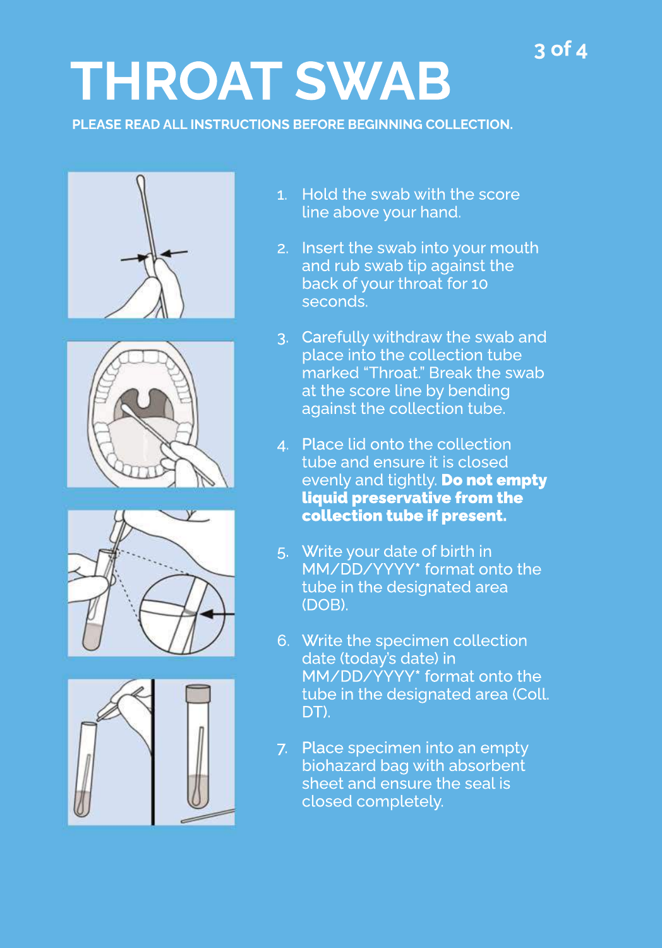### **3of4**

### **THROATSWAB**

**PLEASE READ ALL INSTRUCTIONS BEFORE BEGINNING COLLECTION.** 









- 1. Hold the swab with the score line above your hand.
- Insert the swab into your mouth and rub swab tip against the back of your throat for 10 seconds. 2.
- Carefully withdraw the swab and place into the collection tube marked "Throat." Break the swab at the score line by bending against the collection tube. 3.
- 4. Place lid onto the collection tube and ensure it is closed evenly and tightly. Donot empty liquid preservative from the collection tube if present.
- 5. Write your date of birth in MM/DD/YYYY<sup>\*</sup> format onto the tube in the designated area (DOB).
- 6. Write the specimen collection date (today's date) in MM/DD/YYYY<sup>\*</sup> format onto the tube in the designated area (Coll. DT).
- 7. Place specimen into an empty biohazard bag with absorbent sheet and ensure the seal is closed completely.